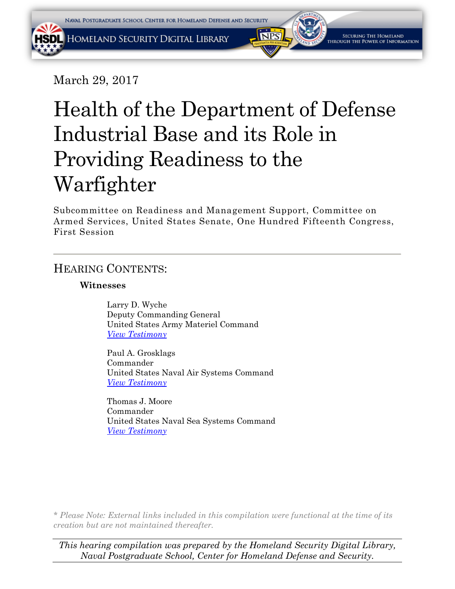March 29, 2017

# Health of the Department of Defense Industrial Base and its Role in Providing Readiness to the Warfighter

Subcommittee on Readiness and Management Support, Committee on Armed Services, United States Senate, One Hundred Fifteenth Congress, First Session

# HEARING CONTENTS:

# **Witnesses**

Larry D. Wyche Deputy Commanding General United States Army Materiel Command *[View Testimony](#page-2-0)*

Paul A. Grosklags Commander United States Naval Air Systems Command *[View Testimony](#page-8-0)*

Thomas J. Moore Commander United States Naval Sea Systems Command *[View Testimony](#page-8-0)*

*\* Please Note: External links included in this compilation were functional at the time of its creation but are not maintained thereafter.* 

*This hearing compilation was prepared by the Homeland Security Digital Library, Naval Postgraduate School, Center for Homeland Defense and Security.*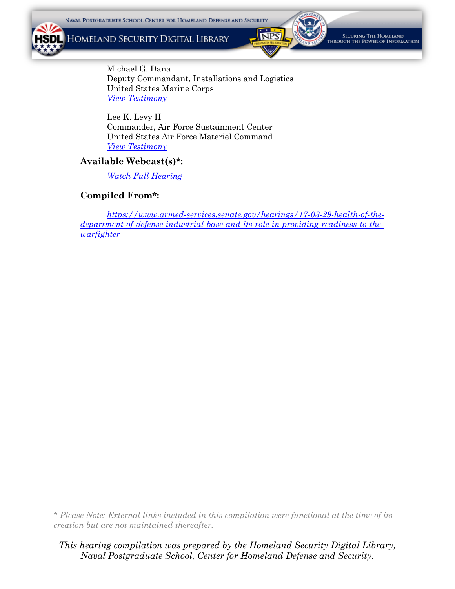HOMELAND SECURITY DIGITAL LIBRARY

VZ



SECURING THE HOMELAND **LOUGH THE POWER OF INFORMATION** 

Michael G. Dana Deputy Commandant, Installations and Logistics United States Marine Corps *[View Testimony](#page-16-0)*

Lee K. Levy II Commander, Air Force Sustainment Center United States Air Force Materiel Command *[View Testimony](#page-25-0)*

#### **Available Webcast(s)\*:**

*[Watch Full Hearing](https://www.armed-services.senate.gov/hearings/watch?hearingid=470983FF-5056-A066-608A-14A82FDDF640)*

## **Compiled From\*:**

*[https://www.armed-services.senate.gov/hearings/17-03-29-health-of-the](https://www.armed-services.senate.gov/hearings/17-03-29-health-of-the-department-of-defense-industrial-base-and-its-role-in-providing-readiness-to-the-warfighter)[department-of-defense-industrial-base-and-its-role-in-providing-readiness-to-the](https://www.armed-services.senate.gov/hearings/17-03-29-health-of-the-department-of-defense-industrial-base-and-its-role-in-providing-readiness-to-the-warfighter)[warfighter](https://www.armed-services.senate.gov/hearings/17-03-29-health-of-the-department-of-defense-industrial-base-and-its-role-in-providing-readiness-to-the-warfighter)*

*\* Please Note: External links included in this compilation were functional at the time of its creation but are not maintained thereafter.* 

*This hearing compilation was prepared by the Homeland Security Digital Library, Naval Postgraduate School, Center for Homeland Defense and Security.*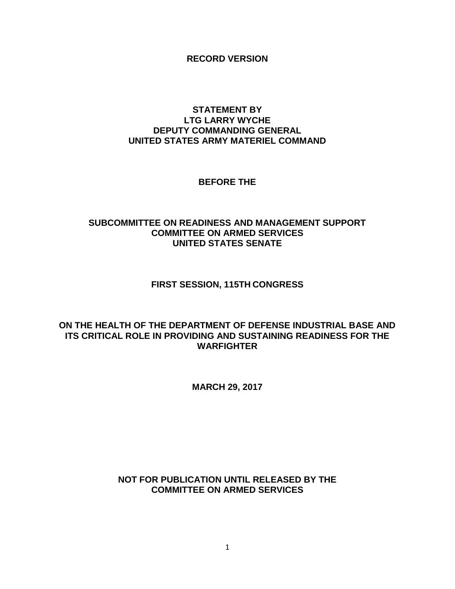**RECORD VERSION**

## <span id="page-2-0"></span>**STATEMENT BY LTG LARRY WYCHE DEPUTY COMMANDING GENERAL UNITED STATES ARMY MATERIEL COMMAND**

## **BEFORE THE**

# **SUBCOMMITTEE ON READINESS AND MANAGEMENT SUPPORT COMMITTEE ON ARMED SERVICES UNITED STATES SENATE**

# **FIRST SESSION, 115TH CONGRESS**

# **ON THE HEALTH OF THE DEPARTMENT OF DEFENSE INDUSTRIAL BASE AND ITS CRITICAL ROLE IN PROVIDING AND SUSTAINING READINESS FOR THE WARFIGHTER**

**MARCH 29, 2017**

# **NOT FOR PUBLICATION UNTIL RELEASED BY THE COMMITTEE ON ARMED SERVICES**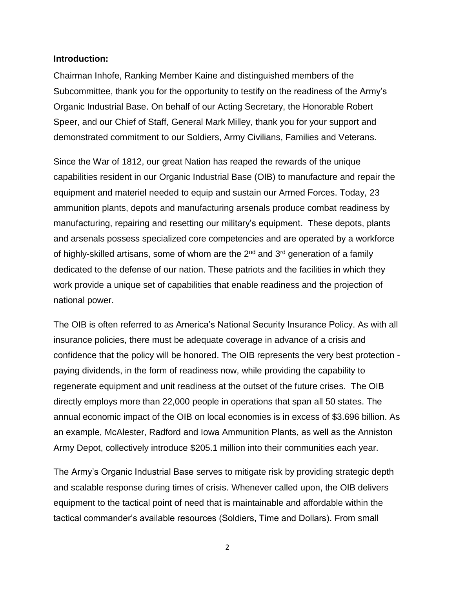#### **Introduction:**

Chairman Inhofe, Ranking Member Kaine and distinguished members of the Subcommittee, thank you for the opportunity to testify on the readiness of the Army's Organic Industrial Base. On behalf of our Acting Secretary, the Honorable Robert Speer, and our Chief of Staff, General Mark Milley, thank you for your support and demonstrated commitment to our Soldiers, Army Civilians, Families and Veterans.

Since the War of 1812, our great Nation has reaped the rewards of the unique capabilities resident in our Organic Industrial Base (OIB) to manufacture and repair the equipment and materiel needed to equip and sustain our Armed Forces. Today, 23 ammunition plants, depots and manufacturing arsenals produce combat readiness by manufacturing, repairing and resetting our military's equipment. These depots, plants and arsenals possess specialized core competencies and are operated by a workforce of highly-skilled artisans, some of whom are the 2<sup>nd</sup> and 3<sup>rd</sup> generation of a family dedicated to the defense of our nation. These patriots and the facilities in which they work provide a unique set of capabilities that enable readiness and the projection of national power.

The OIB is often referred to as America's National Security Insurance Policy. As with all insurance policies, there must be adequate coverage in advance of a crisis and confidence that the policy will be honored. The OIB represents the very best protection paying dividends, in the form of readiness now, while providing the capability to regenerate equipment and unit readiness at the outset of the future crises. The OIB directly employs more than 22,000 people in operations that span all 50 states. The annual economic impact of the OIB on local economies is in excess of \$3.696 billion. As an example, McAlester, Radford and Iowa Ammunition Plants, as well as the Anniston Army Depot, collectively introduce \$205.1 million into their communities each year.

The Army's Organic Industrial Base serves to mitigate risk by providing strategic depth and scalable response during times of crisis. Whenever called upon, the OIB delivers equipment to the tactical point of need that is maintainable and affordable within the tactical commander's available resources (Soldiers, Time and Dollars). From small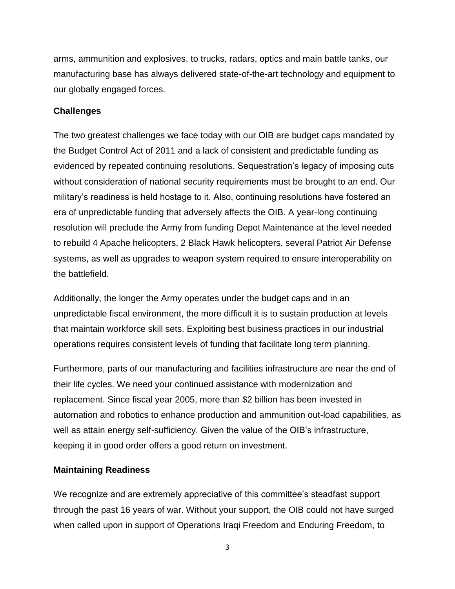arms, ammunition and explosives, to trucks, radars, optics and main battle tanks, our manufacturing base has always delivered state-of-the-art technology and equipment to our globally engaged forces.

## **Challenges**

The two greatest challenges we face today with our OIB are budget caps mandated by the Budget Control Act of 2011 and a lack of consistent and predictable funding as evidenced by repeated continuing resolutions. Sequestration's legacy of imposing cuts without consideration of national security requirements must be brought to an end. Our military's readiness is held hostage to it. Also, continuing resolutions have fostered an era of unpredictable funding that adversely affects the OIB. A year-long continuing resolution will preclude the Army from funding Depot Maintenance at the level needed to rebuild 4 Apache helicopters, 2 Black Hawk helicopters, several Patriot Air Defense systems, as well as upgrades to weapon system required to ensure interoperability on the battlefield.

Additionally, the longer the Army operates under the budget caps and in an unpredictable fiscal environment, the more difficult it is to sustain production at levels that maintain workforce skill sets. Exploiting best business practices in our industrial operations requires consistent levels of funding that facilitate long term planning.

Furthermore, parts of our manufacturing and facilities infrastructure are near the end of their life cycles. We need your continued assistance with modernization and replacement. Since fiscal year 2005, more than \$2 billion has been invested in automation and robotics to enhance production and ammunition out-load capabilities, as well as attain energy self-sufficiency. Given the value of the OIB's infrastructure, keeping it in good order offers a good return on investment.

# **Maintaining Readiness**

We recognize and are extremely appreciative of this committee's steadfast support through the past 16 years of war. Without your support, the OIB could not have surged when called upon in support of Operations Iraqi Freedom and Enduring Freedom, to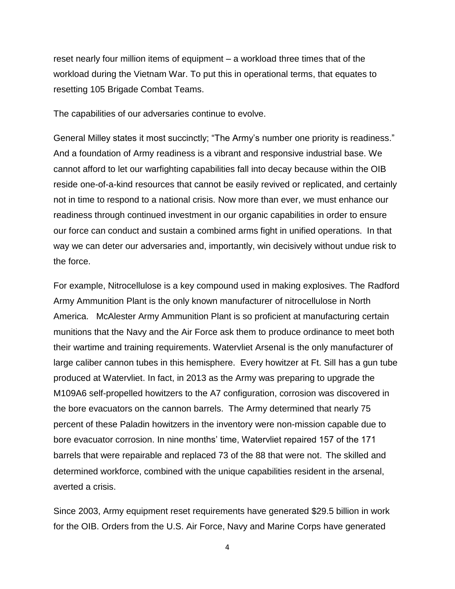reset nearly four million items of equipment – a workload three times that of the workload during the Vietnam War. To put this in operational terms, that equates to resetting 105 Brigade Combat Teams.

The capabilities of our adversaries continue to evolve.

General Milley states it most succinctly; "The Army's number one priority is readiness." And a foundation of Army readiness is a vibrant and responsive industrial base. We cannot afford to let our warfighting capabilities fall into decay because within the OIB reside one-of-a-kind resources that cannot be easily revived or replicated, and certainly not in time to respond to a national crisis. Now more than ever, we must enhance our readiness through continued investment in our organic capabilities in order to ensure our force can conduct and sustain a combined arms fight in unified operations. In that way we can deter our adversaries and, importantly, win decisively without undue risk to the force.

For example, Nitrocellulose is a key compound used in making explosives. The Radford Army Ammunition Plant is the only known manufacturer of nitrocellulose in North America. McAlester Army Ammunition Plant is so proficient at manufacturing certain munitions that the Navy and the Air Force ask them to produce ordinance to meet both their wartime and training requirements. Watervliet Arsenal is the only manufacturer of large caliber cannon tubes in this hemisphere. Every howitzer at Ft. Sill has a gun tube produced at Watervliet. In fact, in 2013 as the Army was preparing to upgrade the M109A6 self-propelled howitzers to the A7 configuration, corrosion was discovered in the bore evacuators on the cannon barrels. The Army determined that nearly 75 percent of these Paladin howitzers in the inventory were non-mission capable due to bore evacuator corrosion. In nine months' time, Watervliet repaired 157 of the 171 barrels that were repairable and replaced 73 of the 88 that were not. The skilled and determined workforce, combined with the unique capabilities resident in the arsenal, averted a crisis.

Since 2003, Army equipment reset requirements have generated \$29.5 billion in work for the OIB. Orders from the U.S. Air Force, Navy and Marine Corps have generated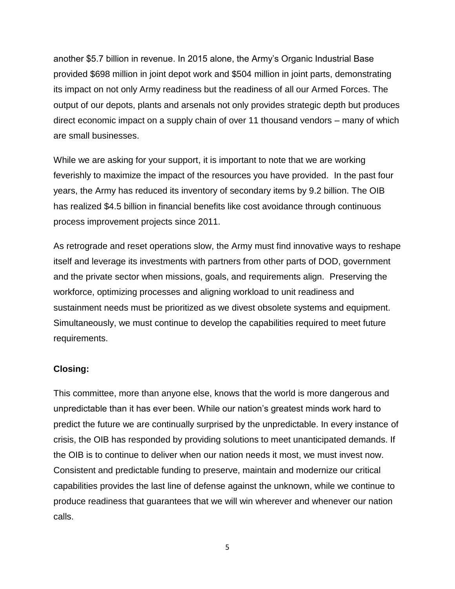another \$5.7 billion in revenue. In 2015 alone, the Army's Organic Industrial Base provided \$698 million in joint depot work and \$504 million in joint parts, demonstrating its impact on not only Army readiness but the readiness of all our Armed Forces. The output of our depots, plants and arsenals not only provides strategic depth but produces direct economic impact on a supply chain of over 11 thousand vendors – many of which are small businesses.

While we are asking for your support, it is important to note that we are working feverishly to maximize the impact of the resources you have provided. In the past four years, the Army has reduced its inventory of secondary items by 9.2 billion. The OIB has realized \$4.5 billion in financial benefits like cost avoidance through continuous process improvement projects since 2011.

As retrograde and reset operations slow, the Army must find innovative ways to reshape itself and leverage its investments with partners from other parts of DOD, government and the private sector when missions, goals, and requirements align. Preserving the workforce, optimizing processes and aligning workload to unit readiness and sustainment needs must be prioritized as we divest obsolete systems and equipment. Simultaneously, we must continue to develop the capabilities required to meet future requirements.

## **Closing:**

This committee, more than anyone else, knows that the world is more dangerous and unpredictable than it has ever been. While our nation's greatest minds work hard to predict the future we are continually surprised by the unpredictable. In every instance of crisis, the OIB has responded by providing solutions to meet unanticipated demands. If the OIB is to continue to deliver when our nation needs it most, we must invest now. Consistent and predictable funding to preserve, maintain and modernize our critical capabilities provides the last line of defense against the unknown, while we continue to produce readiness that guarantees that we will win wherever and whenever our nation calls.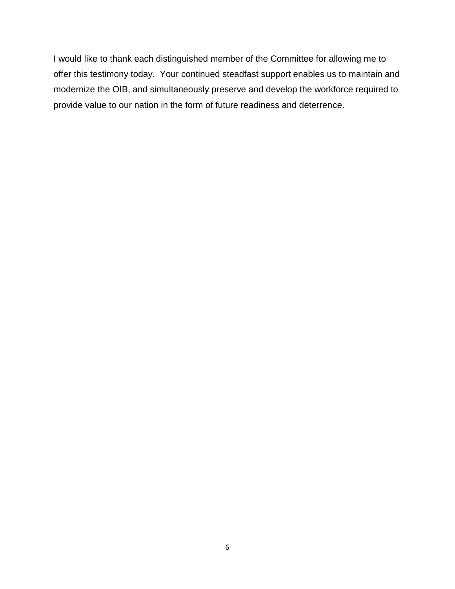I would like to thank each distinguished member of the Committee for allowing me to offer this testimony today. Your continued steadfast support enables us to maintain and modernize the OIB, and simultaneously preserve and develop the workforce required to provide value to our nation in the form of future readiness and deterrence.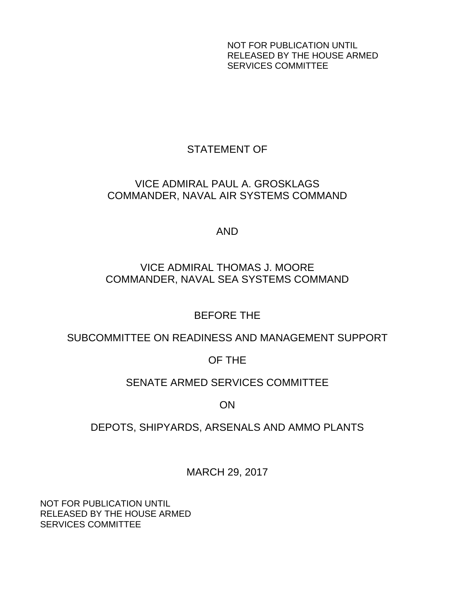NOT FOR PUBLICATION UNTIL RELEASED BY THE HOUSE ARMED SERVICES COMMITTEE

# STATEMENT OF

# <span id="page-8-0"></span>VICE ADMIRAL PAUL A. GROSKLAGS COMMANDER, NAVAL AIR SYSTEMS COMMAND

# AND

# VICE ADMIRAL THOMAS J. MOORE COMMANDER, NAVAL SEA SYSTEMS COMMAND

# BEFORE THE

# SUBCOMMITTEE ON READINESS AND MANAGEMENT SUPPORT

# OF THE

# SENATE ARMED SERVICES COMMITTEE

# ON

# DEPOTS, SHIPYARDS, ARSENALS AND AMMO PLANTS

MARCH 29, 2017

NOT FOR PUBLICATION UNTIL RELEASED BY THE HOUSE ARMED SERVICES COMMITTEE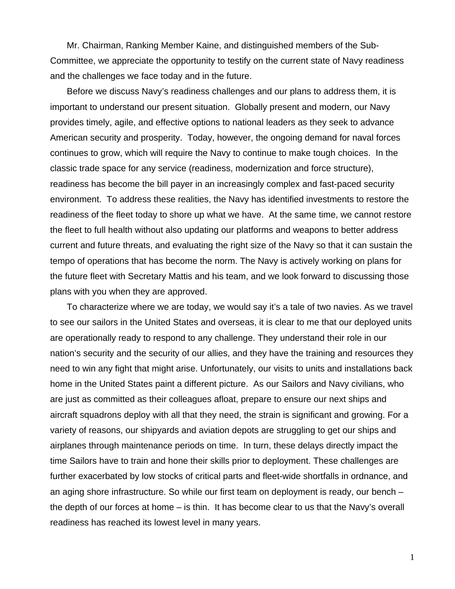Mr. Chairman, Ranking Member Kaine, and distinguished members of the Sub-Committee, we appreciate the opportunity to testify on the current state of Navy readiness and the challenges we face today and in the future.

Before we discuss Navy's readiness challenges and our plans to address them, it is important to understand our present situation. Globally present and modern, our Navy provides timely, agile, and effective options to national leaders as they seek to advance American security and prosperity. Today, however, the ongoing demand for naval forces continues to grow, which will require the Navy to continue to make tough choices. In the classic trade space for any service (readiness, modernization and force structure), readiness has become the bill payer in an increasingly complex and fast-paced security environment. To address these realities, the Navy has identified investments to restore the readiness of the fleet today to shore up what we have. At the same time, we cannot restore the fleet to full health without also updating our platforms and weapons to better address current and future threats, and evaluating the right size of the Navy so that it can sustain the tempo of operations that has become the norm. The Navy is actively working on plans for the future fleet with Secretary Mattis and his team, and we look forward to discussing those plans with you when they are approved.

To characterize where we are today, we would say it's a tale of two navies. As we travel to see our sailors in the United States and overseas, it is clear to me that our deployed units are operationally ready to respond to any challenge. They understand their role in our nation's security and the security of our allies, and they have the training and resources they need to win any fight that might arise. Unfortunately, our visits to units and installations back home in the United States paint a different picture. As our Sailors and Navy civilians, who are just as committed as their colleagues afloat, prepare to ensure our next ships and aircraft squadrons deploy with all that they need, the strain is significant and growing. For a variety of reasons, our shipyards and aviation depots are struggling to get our ships and airplanes through maintenance periods on time. In turn, these delays directly impact the time Sailors have to train and hone their skills prior to deployment. These challenges are further exacerbated by low stocks of critical parts and fleet-wide shortfalls in ordnance, and an aging shore infrastructure. So while our first team on deployment is ready, our bench – the depth of our forces at home – is thin. It has become clear to us that the Navy's overall readiness has reached its lowest level in many years.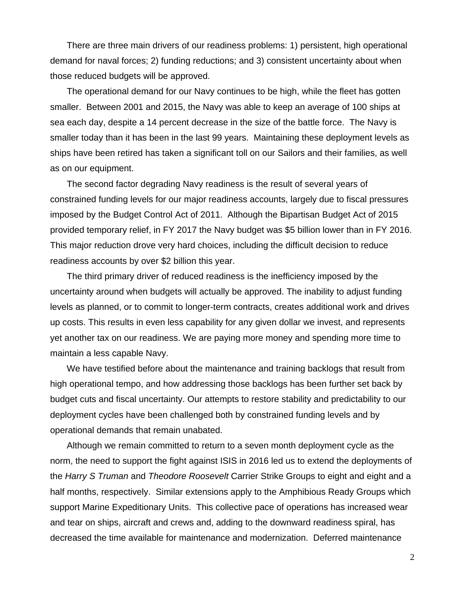There are three main drivers of our readiness problems: 1) persistent, high operational demand for naval forces; 2) funding reductions; and 3) consistent uncertainty about when those reduced budgets will be approved.

The operational demand for our Navy continues to be high, while the fleet has gotten smaller. Between 2001 and 2015, the Navy was able to keep an average of 100 ships at sea each day, despite a 14 percent decrease in the size of the battle force. The Navy is smaller today than it has been in the last 99 years. Maintaining these deployment levels as ships have been retired has taken a significant toll on our Sailors and their families, as well as on our equipment.

The second factor degrading Navy readiness is the result of several years of constrained funding levels for our major readiness accounts, largely due to fiscal pressures imposed by the Budget Control Act of 2011. Although the Bipartisan Budget Act of 2015 provided temporary relief, in FY 2017 the Navy budget was \$5 billion lower than in FY 2016. This major reduction drove very hard choices, including the difficult decision to reduce readiness accounts by over \$2 billion this year.

The third primary driver of reduced readiness is the inefficiency imposed by the uncertainty around when budgets will actually be approved. The inability to adjust funding levels as planned, or to commit to longer-term contracts, creates additional work and drives up costs. This results in even less capability for any given dollar we invest, and represents yet another tax on our readiness. We are paying more money and spending more time to maintain a less capable Navy.

We have testified before about the maintenance and training backlogs that result from high operational tempo, and how addressing those backlogs has been further set back by budget cuts and fiscal uncertainty. Our attempts to restore stability and predictability to our deployment cycles have been challenged both by constrained funding levels and by operational demands that remain unabated.

Although we remain committed to return to a seven month deployment cycle as the norm, the need to support the fight against ISIS in 2016 led us to extend the deployments of the *Harry S Truman* and *Theodore Roosevelt* Carrier Strike Groups to eight and eight and a half months, respectively. Similar extensions apply to the Amphibious Ready Groups which support Marine Expeditionary Units. This collective pace of operations has increased wear and tear on ships, aircraft and crews and, adding to the downward readiness spiral, has decreased the time available for maintenance and modernization. Deferred maintenance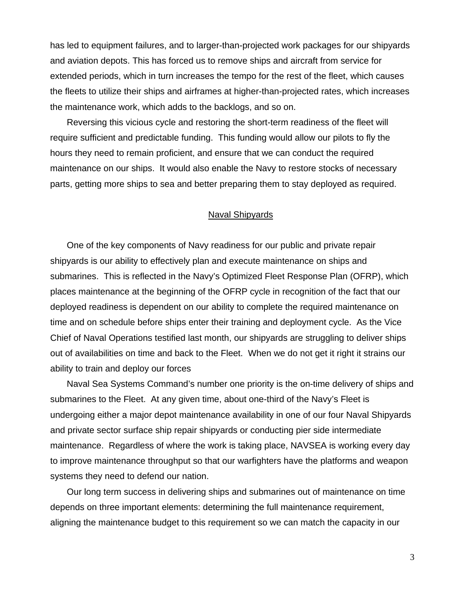has led to equipment failures, and to larger-than-projected work packages for our shipyards and aviation depots. This has forced us to remove ships and aircraft from service for extended periods, which in turn increases the tempo for the rest of the fleet, which causes the fleets to utilize their ships and airframes at higher-than-projected rates, which increases the maintenance work, which adds to the backlogs, and so on.

Reversing this vicious cycle and restoring the short-term readiness of the fleet will require sufficient and predictable funding. This funding would allow our pilots to fly the hours they need to remain proficient, and ensure that we can conduct the required maintenance on our ships. It would also enable the Navy to restore stocks of necessary parts, getting more ships to sea and better preparing them to stay deployed as required.

#### Naval Shipyards

One of the key components of Navy readiness for our public and private repair shipyards is our ability to effectively plan and execute maintenance on ships and submarines. This is reflected in the Navy's Optimized Fleet Response Plan (OFRP), which places maintenance at the beginning of the OFRP cycle in recognition of the fact that our deployed readiness is dependent on our ability to complete the required maintenance on time and on schedule before ships enter their training and deployment cycle. As the Vice Chief of Naval Operations testified last month, our shipyards are struggling to deliver ships out of availabilities on time and back to the Fleet. When we do not get it right it strains our ability to train and deploy our forces

Naval Sea Systems Command's number one priority is the on-time delivery of ships and submarines to the Fleet. At any given time, about one-third of the Navy's Fleet is undergoing either a major depot maintenance availability in one of our four Naval Shipyards and private sector surface ship repair shipyards or conducting pier side intermediate maintenance. Regardless of where the work is taking place, NAVSEA is working every day to improve maintenance throughput so that our warfighters have the platforms and weapon systems they need to defend our nation.

Our long term success in delivering ships and submarines out of maintenance on time depends on three important elements: determining the full maintenance requirement, aligning the maintenance budget to this requirement so we can match the capacity in our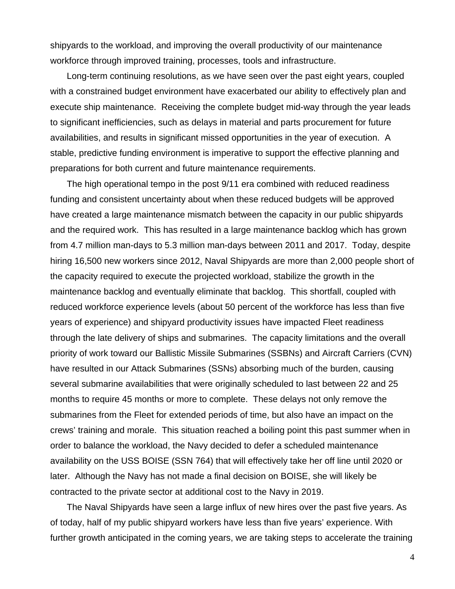shipyards to the workload, and improving the overall productivity of our maintenance workforce through improved training, processes, tools and infrastructure.

Long-term continuing resolutions, as we have seen over the past eight years, coupled with a constrained budget environment have exacerbated our ability to effectively plan and execute ship maintenance. Receiving the complete budget mid-way through the year leads to significant inefficiencies, such as delays in material and parts procurement for future availabilities, and results in significant missed opportunities in the year of execution. A stable, predictive funding environment is imperative to support the effective planning and preparations for both current and future maintenance requirements.

The high operational tempo in the post 9/11 era combined with reduced readiness funding and consistent uncertainty about when these reduced budgets will be approved have created a large maintenance mismatch between the capacity in our public shipyards and the required work. This has resulted in a large maintenance backlog which has grown from 4.7 million man-days to 5.3 million man-days between 2011 and 2017. Today, despite hiring 16,500 new workers since 2012, Naval Shipyards are more than 2,000 people short of the capacity required to execute the projected workload, stabilize the growth in the maintenance backlog and eventually eliminate that backlog. This shortfall, coupled with reduced workforce experience levels (about 50 percent of the workforce has less than five years of experience) and shipyard productivity issues have impacted Fleet readiness through the late delivery of ships and submarines. The capacity limitations and the overall priority of work toward our Ballistic Missile Submarines (SSBNs) and Aircraft Carriers (CVN) have resulted in our Attack Submarines (SSNs) absorbing much of the burden, causing several submarine availabilities that were originally scheduled to last between 22 and 25 months to require 45 months or more to complete. These delays not only remove the submarines from the Fleet for extended periods of time, but also have an impact on the crews' training and morale. This situation reached a boiling point this past summer when in order to balance the workload, the Navy decided to defer a scheduled maintenance availability on the USS BOISE (SSN 764) that will effectively take her off line until 2020 or later. Although the Navy has not made a final decision on BOISE, she will likely be contracted to the private sector at additional cost to the Navy in 2019.

The Naval Shipyards have seen a large influx of new hires over the past five years. As of today, half of my public shipyard workers have less than five years' experience. With further growth anticipated in the coming years, we are taking steps to accelerate the training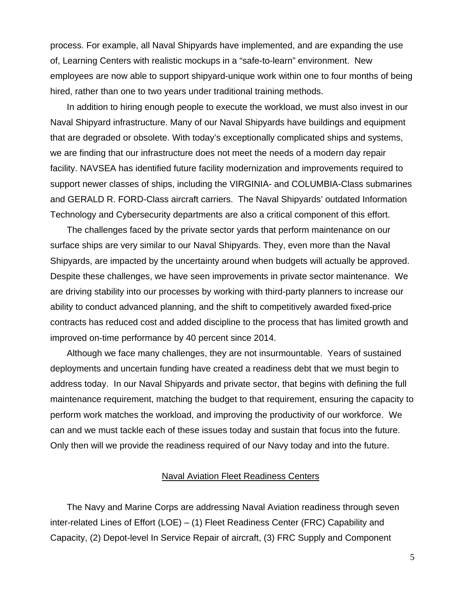process. For example, all Naval Shipyards have implemented, and are expanding the use of, Learning Centers with realistic mockups in a "safe-to-learn" environment. New employees are now able to support shipyard-unique work within one to four months of being hired, rather than one to two years under traditional training methods.

In addition to hiring enough people to execute the workload, we must also invest in our Naval Shipyard infrastructure. Many of our Naval Shipyards have buildings and equipment that are degraded or obsolete. With today's exceptionally complicated ships and systems, we are finding that our infrastructure does not meet the needs of a modern day repair facility. NAVSEA has identified future facility modernization and improvements required to support newer classes of ships, including the VIRGINIA- and COLUMBIA-Class submarines and GERALD R. FORD-Class aircraft carriers. The Naval Shipyards' outdated Information Technology and Cybersecurity departments are also a critical component of this effort.

The challenges faced by the private sector yards that perform maintenance on our surface ships are very similar to our Naval Shipyards. They, even more than the Naval Shipyards, are impacted by the uncertainty around when budgets will actually be approved. Despite these challenges, we have seen improvements in private sector maintenance. We are driving stability into our processes by working with third-party planners to increase our ability to conduct advanced planning, and the shift to competitively awarded fixed-price contracts has reduced cost and added discipline to the process that has limited growth and improved on-time performance by 40 percent since 2014.

Although we face many challenges, they are not insurmountable. Years of sustained deployments and uncertain funding have created a readiness debt that we must begin to address today. In our Naval Shipyards and private sector, that begins with defining the full maintenance requirement, matching the budget to that requirement, ensuring the capacity to perform work matches the workload, and improving the productivity of our workforce. We can and we must tackle each of these issues today and sustain that focus into the future. Only then will we provide the readiness required of our Navy today and into the future.

## Naval Aviation Fleet Readiness Centers

The Navy and Marine Corps are addressing Naval Aviation readiness through seven inter-related Lines of Effort (LOE) – (1) Fleet Readiness Center (FRC) Capability and Capacity, (2) Depot-level In Service Repair of aircraft, (3) FRC Supply and Component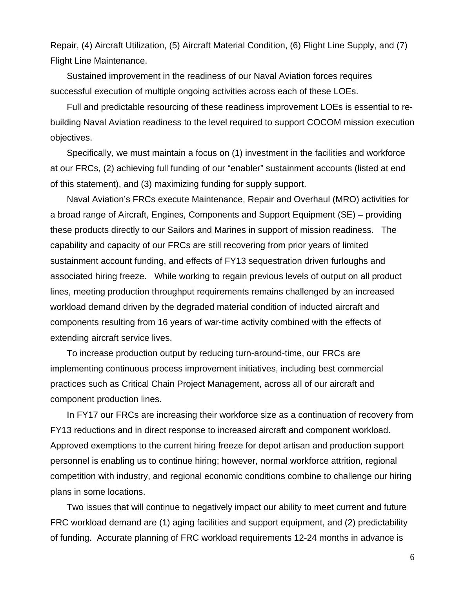Repair, (4) Aircraft Utilization, (5) Aircraft Material Condition, (6) Flight Line Supply, and (7) Flight Line Maintenance.

Sustained improvement in the readiness of our Naval Aviation forces requires successful execution of multiple ongoing activities across each of these LOEs.

Full and predictable resourcing of these readiness improvement LOEs is essential to rebuilding Naval Aviation readiness to the level required to support COCOM mission execution objectives.

Specifically, we must maintain a focus on (1) investment in the facilities and workforce at our FRCs, (2) achieving full funding of our "enabler" sustainment accounts (listed at end of this statement), and (3) maximizing funding for supply support.

Naval Aviation's FRCs execute Maintenance, Repair and Overhaul (MRO) activities for a broad range of Aircraft, Engines, Components and Support Equipment (SE) – providing these products directly to our Sailors and Marines in support of mission readiness. The capability and capacity of our FRCs are still recovering from prior years of limited sustainment account funding, and effects of FY13 sequestration driven furloughs and associated hiring freeze. While working to regain previous levels of output on all product lines, meeting production throughput requirements remains challenged by an increased workload demand driven by the degraded material condition of inducted aircraft and components resulting from 16 years of war-time activity combined with the effects of extending aircraft service lives.

To increase production output by reducing turn-around-time, our FRCs are implementing continuous process improvement initiatives, including best commercial practices such as Critical Chain Project Management, across all of our aircraft and component production lines.

In FY17 our FRCs are increasing their workforce size as a continuation of recovery from FY13 reductions and in direct response to increased aircraft and component workload. Approved exemptions to the current hiring freeze for depot artisan and production support personnel is enabling us to continue hiring; however, normal workforce attrition, regional competition with industry, and regional economic conditions combine to challenge our hiring plans in some locations.

Two issues that will continue to negatively impact our ability to meet current and future FRC workload demand are (1) aging facilities and support equipment, and (2) predictability of funding. Accurate planning of FRC workload requirements 12-24 months in advance is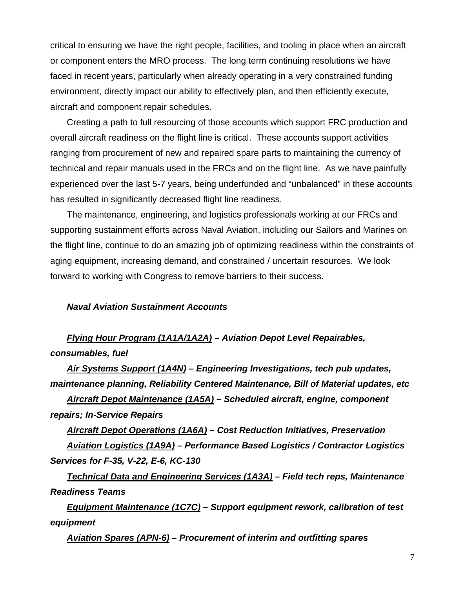critical to ensuring we have the right people, facilities, and tooling in place when an aircraft or component enters the MRO process. The long term continuing resolutions we have faced in recent years, particularly when already operating in a very constrained funding environment, directly impact our ability to effectively plan, and then efficiently execute, aircraft and component repair schedules.

Creating a path to full resourcing of those accounts which support FRC production and overall aircraft readiness on the flight line is critical. These accounts support activities ranging from procurement of new and repaired spare parts to maintaining the currency of technical and repair manuals used in the FRCs and on the flight line. As we have painfully experienced over the last 5-7 years, being underfunded and "unbalanced" in these accounts has resulted in significantly decreased flight line readiness.

The maintenance, engineering, and logistics professionals working at our FRCs and supporting sustainment efforts across Naval Aviation, including our Sailors and Marines on the flight line, continue to do an amazing job of optimizing readiness within the constraints of aging equipment, increasing demand, and constrained / uncertain resources. We look forward to working with Congress to remove barriers to their success.

#### *Naval Aviation Sustainment Accounts*

*Flying Hour Program (1A1A/1A2A) – Aviation Depot Level Repairables, consumables, fuel* 

*Air Systems Support (1A4N) – Engineering Investigations, tech pub updates, maintenance planning, Reliability Centered Maintenance, Bill of Material updates, etc* 

*Aircraft Depot Maintenance (1A5A) – Scheduled aircraft, engine, component repairs; In-Service Repairs* 

*Aircraft Depot Operations (1A6A) – Cost Reduction Initiatives, Preservation Aviation Logistics (1A9A) – Performance Based Logistics / Contractor Logistics Services for F-35, V-22, E-6, KC-130* 

*Technical Data and Engineering Services (1A3A) – Field tech reps, Maintenance Readiness Teams* 

*Equipment Maintenance (1C7C) – Support equipment rework, calibration of test equipment* 

*Aviation Spares (APN-6) – Procurement of interim and outfitting spares*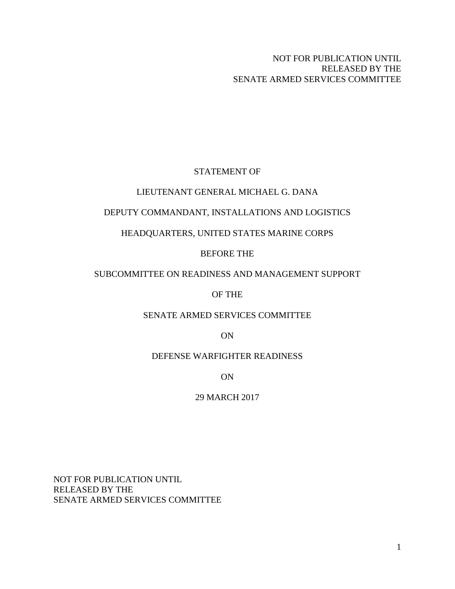# STATEMENT OF

## <span id="page-16-0"></span>LIEUTENANT GENERAL MICHAEL G. DANA

## DEPUTY COMMANDANT, INSTALLATIONS AND LOGISTICS

## HEADQUARTERS, UNITED STATES MARINE CORPS

## BEFORE THE

## SUBCOMMITTEE ON READINESS AND MANAGEMENT SUPPORT

## OF THE

#### SENATE ARMED SERVICES COMMITTEE

ON

# DEFENSE WARFIGHTER READINESS

ON

## 29 MARCH 2017

NOT FOR PUBLICATION UNTIL RELEASED BY THE SENATE ARMED SERVICES COMMITTEE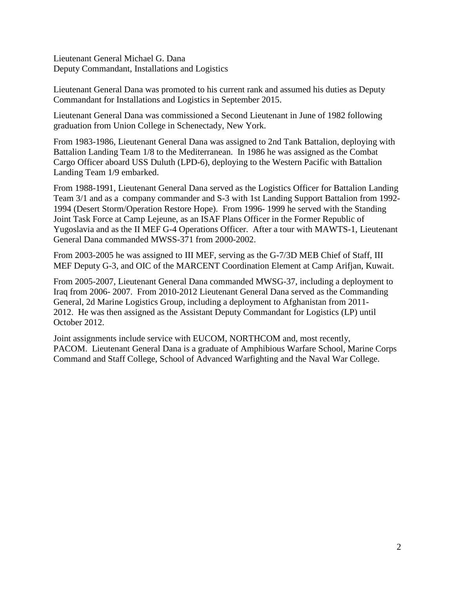Lieutenant General Michael G. Dana Deputy Commandant, Installations and Logistics

Lieutenant General Dana was promoted to his current rank and assumed his duties as Deputy Commandant for Installations and Logistics in September 2015.

Lieutenant General Dana was commissioned a Second Lieutenant in June of 1982 following graduation from Union College in Schenectady, New York.

From 1983-1986, Lieutenant General Dana was assigned to 2nd Tank Battalion, deploying with Battalion Landing Team 1/8 to the Mediterranean. In 1986 he was assigned as the Combat Cargo Officer aboard USS Duluth (LPD-6), deploying to the Western Pacific with Battalion Landing Team 1/9 embarked.

From 1988-1991, Lieutenant General Dana served as the Logistics Officer for Battalion Landing Team 3/1 and as a company commander and S-3 with 1st Landing Support Battalion from 1992- 1994 (Desert Storm/Operation Restore Hope). From 1996- 1999 he served with the Standing Joint Task Force at Camp Lejeune, as an ISAF Plans Officer in the Former Republic of Yugoslavia and as the II MEF G-4 Operations Officer. After a tour with MAWTS-1, Lieutenant General Dana commanded MWSS-371 from 2000-2002.

From 2003-2005 he was assigned to III MEF, serving as the G-7/3D MEB Chief of Staff, III MEF Deputy G-3, and OIC of the MARCENT Coordination Element at Camp Arifjan, Kuwait.

From 2005-2007, Lieutenant General Dana commanded MWSG-37, including a deployment to Iraq from 2006- 2007. From 2010-2012 Lieutenant General Dana served as the Commanding General, 2d Marine Logistics Group, including a deployment to Afghanistan from 2011- 2012. He was then assigned as the Assistant Deputy Commandant for Logistics (LP) until October 2012.

Joint assignments include service with EUCOM, NORTHCOM and, most recently, PACOM. Lieutenant General Dana is a graduate of Amphibious Warfare School, Marine Corps Command and Staff College, School of Advanced Warfighting and the Naval War College.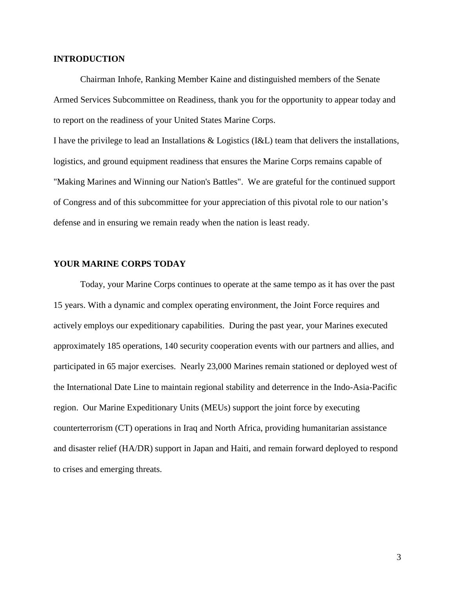#### **INTRODUCTION**

Chairman Inhofe, Ranking Member Kaine and distinguished members of the Senate Armed Services Subcommittee on Readiness, thank you for the opportunity to appear today and to report on the readiness of your United States Marine Corps.

I have the privilege to lead an Installations & Logistics (I&L) team that delivers the installations, logistics, and ground equipment readiness that ensures the Marine Corps remains capable of "Making Marines and Winning our Nation's Battles". We are grateful for the continued support of Congress and of this subcommittee for your appreciation of this pivotal role to our nation's defense and in ensuring we remain ready when the nation is least ready.

#### **YOUR MARINE CORPS TODAY**

Today, your Marine Corps continues to operate at the same tempo as it has over the past 15 years. With a dynamic and complex operating environment, the Joint Force requires and actively employs our expeditionary capabilities. During the past year, your Marines executed approximately 185 operations, 140 security cooperation events with our partners and allies, and participated in 65 major exercises. Nearly 23,000 Marines remain stationed or deployed west of the International Date Line to maintain regional stability and deterrence in the Indo-Asia-Pacific region. Our Marine Expeditionary Units (MEUs) support the joint force by executing counterterrorism (CT) operations in Iraq and North Africa, providing humanitarian assistance and disaster relief (HA/DR) support in Japan and Haiti, and remain forward deployed to respond to crises and emerging threats.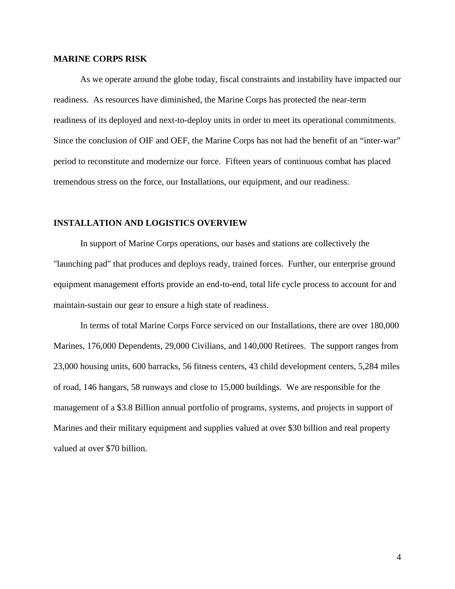#### **MARINE CORPS RISK**

As we operate around the globe today, fiscal constraints and instability have impacted our readiness. As resources have diminished, the Marine Corps has protected the near-term readiness of its deployed and next-to-deploy units in order to meet its operational commitments. Since the conclusion of OIF and OEF, the Marine Corps has not had the benefit of an "inter-war" period to reconstitute and modernize our force. Fifteen years of continuous combat has placed tremendous stress on the force, our Installations, our equipment, and our readiness.

#### **INSTALLATION AND LOGISTICS OVERVIEW**

In support of Marine Corps operations, our bases and stations are collectively the "launching pad" that produces and deploys ready, trained forces. Further, our enterprise ground equipment management efforts provide an end-to-end, total life cycle process to account for and maintain-sustain our gear to ensure a high state of readiness.

In terms of total Marine Corps Force serviced on our Installations, there are over 180,000 Marines, 176,000 Dependents, 29,000 Civilians, and 140,000 Retirees. The support ranges from 23,000 housing units, 600 barracks, 56 fitness centers, 43 child development centers, 5,284 miles of road, 146 hangars, 58 runways and close to 15,000 buildings. We are responsible for the management of a \$3.8 Billion annual portfolio of programs, systems, and projects in support of Marines and their military equipment and supplies valued at over \$30 billion and real property valued at over \$70 billion.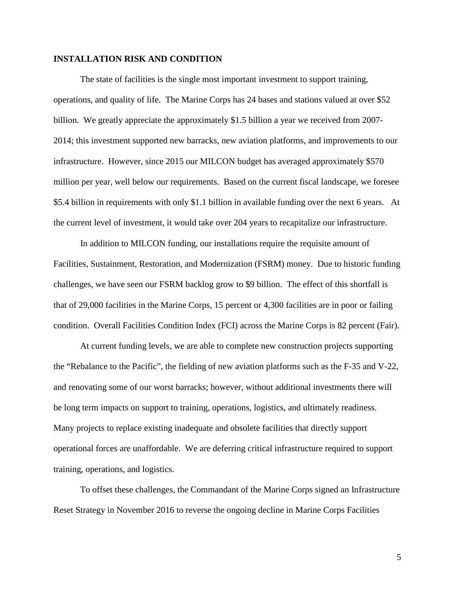#### **INSTALLATION RISK AND CONDITION**

The state of facilities is the single most important investment to support training, operations, and quality of life. The Marine Corps has 24 bases and stations valued at over \$52 billion. We greatly appreciate the approximately \$1.5 billion a year we received from 2007- 2014; this investment supported new barracks, new aviation platforms, and improvements to our infrastructure. However, since 2015 our MILCON budget has averaged approximately \$570 million per year, well below our requirements. Based on the current fiscal landscape, we foresee \$5.4 billion in requirements with only \$1.1 billion in available funding over the next 6 years. At the current level of investment, it would take over 204 years to recapitalize our infrastructure.

In addition to MILCON funding, our installations require the requisite amount of Facilities, Sustainment, Restoration, and Modernization (FSRM) money. Due to historic funding challenges, we have seen our FSRM backlog grow to \$9 billion. The effect of this shortfall is that of 29,000 facilities in the Marine Corps, 15 percent or 4,300 facilities are in poor or failing condition. Overall Facilities Condition Index (FCI) across the Marine Corps is 82 percent (Fair).

At current funding levels, we are able to complete new construction projects supporting the "Rebalance to the Pacific", the fielding of new aviation platforms such as the F-35 and V-22, and renovating some of our worst barracks; however, without additional investments there will be long term impacts on support to training, operations, logistics, and ultimately readiness. Many projects to replace existing inadequate and obsolete facilities that directly support operational forces are unaffordable. We are deferring critical infrastructure required to support training, operations, and logistics.

To offset these challenges, the Commandant of the Marine Corps signed an Infrastructure Reset Strategy in November 2016 to reverse the ongoing decline in Marine Corps Facilities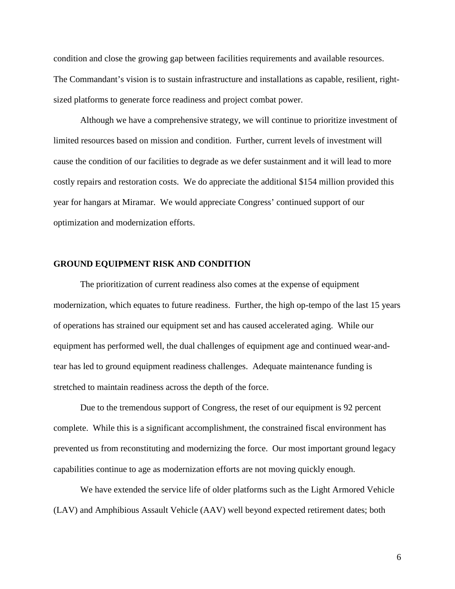condition and close the growing gap between facilities requirements and available resources. The Commandant's vision is to sustain infrastructure and installations as capable, resilient, rightsized platforms to generate force readiness and project combat power.

Although we have a comprehensive strategy, we will continue to prioritize investment of limited resources based on mission and condition. Further, current levels of investment will cause the condition of our facilities to degrade as we defer sustainment and it will lead to more costly repairs and restoration costs. We do appreciate the additional \$154 million provided this year for hangars at Miramar. We would appreciate Congress' continued support of our optimization and modernization efforts.

#### **GROUND EQUIPMENT RISK AND CONDITION**

The prioritization of current readiness also comes at the expense of equipment modernization, which equates to future readiness. Further, the high op-tempo of the last 15 years of operations has strained our equipment set and has caused accelerated aging. While our equipment has performed well, the dual challenges of equipment age and continued wear-andtear has led to ground equipment readiness challenges. Adequate maintenance funding is stretched to maintain readiness across the depth of the force.

Due to the tremendous support of Congress, the reset of our equipment is 92 percent complete. While this is a significant accomplishment, the constrained fiscal environment has prevented us from reconstituting and modernizing the force. Our most important ground legacy capabilities continue to age as modernization efforts are not moving quickly enough.

We have extended the service life of older platforms such as the Light Armored Vehicle (LAV) and Amphibious Assault Vehicle (AAV) well beyond expected retirement dates; both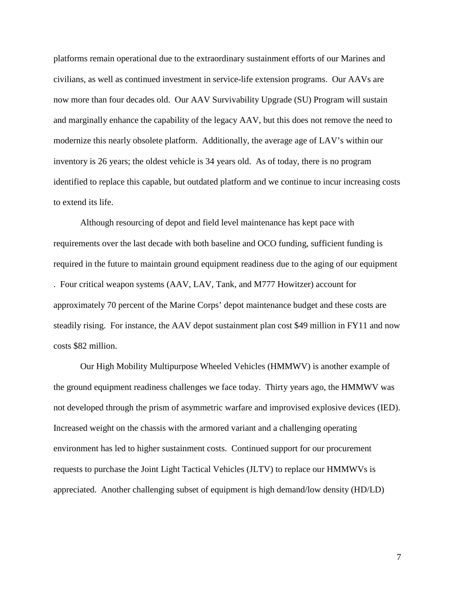platforms remain operational due to the extraordinary sustainment efforts of our Marines and civilians, as well as continued investment in service-life extension programs. Our AAVs are now more than four decades old. Our AAV Survivability Upgrade (SU) Program will sustain and marginally enhance the capability of the legacy AAV, but this does not remove the need to modernize this nearly obsolete platform. Additionally, the average age of LAV's within our inventory is 26 years; the oldest vehicle is 34 years old. As of today, there is no program identified to replace this capable, but outdated platform and we continue to incur increasing costs to extend its life.

Although resourcing of depot and field level maintenance has kept pace with requirements over the last decade with both baseline and OCO funding, sufficient funding is required in the future to maintain ground equipment readiness due to the aging of our equipment . Four critical weapon systems (AAV, LAV, Tank, and M777 Howitzer) account for approximately 70 percent of the Marine Corps' depot maintenance budget and these costs are steadily rising. For instance, the AAV depot sustainment plan cost \$49 million in FY11 and now costs \$82 million.

Our High Mobility Multipurpose Wheeled Vehicles (HMMWV) is another example of the ground equipment readiness challenges we face today. Thirty years ago, the HMMWV was not developed through the prism of asymmetric warfare and improvised explosive devices (IED). Increased weight on the chassis with the armored variant and a challenging operating environment has led to higher sustainment costs. Continued support for our procurement requests to purchase the Joint Light Tactical Vehicles (JLTV) to replace our HMMWVs is appreciated. Another challenging subset of equipment is high demand/low density (HD/LD)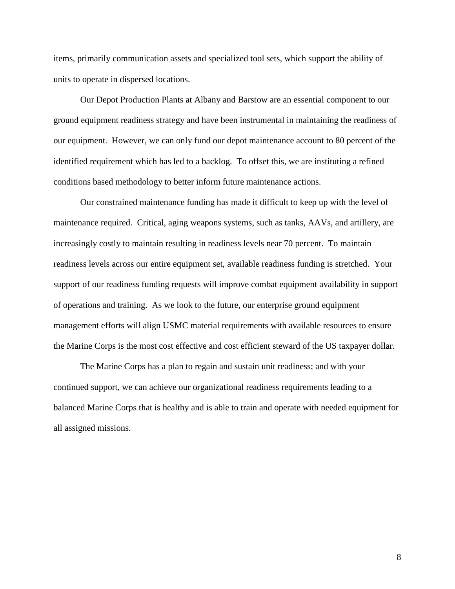items, primarily communication assets and specialized tool sets, which support the ability of units to operate in dispersed locations.

Our Depot Production Plants at Albany and Barstow are an essential component to our ground equipment readiness strategy and have been instrumental in maintaining the readiness of our equipment. However, we can only fund our depot maintenance account to 80 percent of the identified requirement which has led to a backlog. To offset this, we are instituting a refined conditions based methodology to better inform future maintenance actions.

Our constrained maintenance funding has made it difficult to keep up with the level of maintenance required. Critical, aging weapons systems, such as tanks, AAVs, and artillery, are increasingly costly to maintain resulting in readiness levels near 70 percent. To maintain readiness levels across our entire equipment set, available readiness funding is stretched. Your support of our readiness funding requests will improve combat equipment availability in support of operations and training. As we look to the future, our enterprise ground equipment management efforts will align USMC material requirements with available resources to ensure the Marine Corps is the most cost effective and cost efficient steward of the US taxpayer dollar.

The Marine Corps has a plan to regain and sustain unit readiness; and with your continued support, we can achieve our organizational readiness requirements leading to a balanced Marine Corps that is healthy and is able to train and operate with needed equipment for all assigned missions.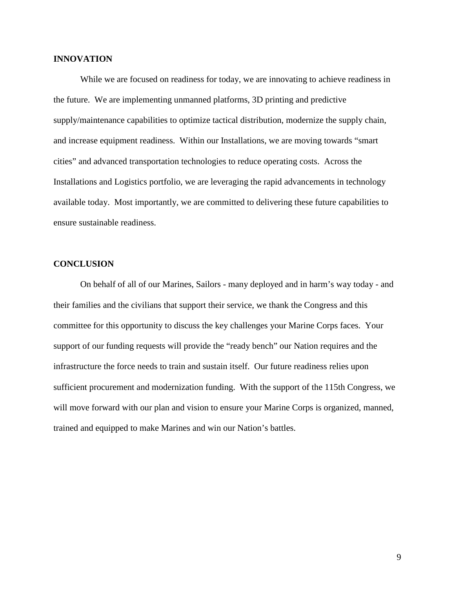#### **INNOVATION**

While we are focused on readiness for today, we are innovating to achieve readiness in the future. We are implementing unmanned platforms, 3D printing and predictive supply/maintenance capabilities to optimize tactical distribution, modernize the supply chain, and increase equipment readiness. Within our Installations, we are moving towards "smart cities" and advanced transportation technologies to reduce operating costs. Across the Installations and Logistics portfolio, we are leveraging the rapid advancements in technology available today. Most importantly, we are committed to delivering these future capabilities to ensure sustainable readiness.

#### **CONCLUSION**

On behalf of all of our Marines, Sailors - many deployed and in harm's way today - and their families and the civilians that support their service, we thank the Congress and this committee for this opportunity to discuss the key challenges your Marine Corps faces. Your support of our funding requests will provide the "ready bench" our Nation requires and the infrastructure the force needs to train and sustain itself. Our future readiness relies upon sufficient procurement and modernization funding. With the support of the 115th Congress, we will move forward with our plan and vision to ensure your Marine Corps is organized, manned, trained and equipped to make Marines and win our Nation's battles.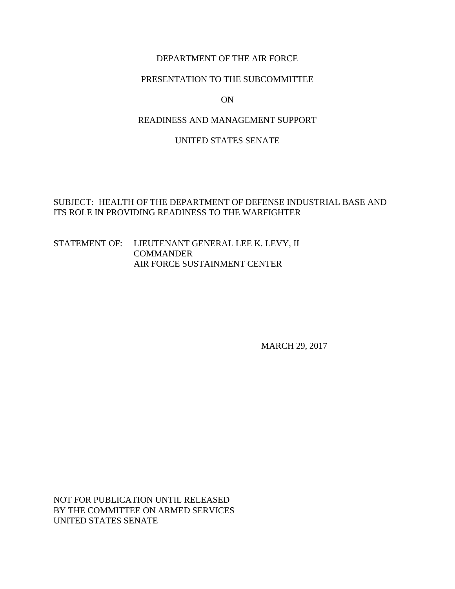## DEPARTMENT OF THE AIR FORCE

#### <span id="page-25-0"></span>PRESENTATION TO THE SUBCOMMITTEE

#### ON

#### READINESS AND MANAGEMENT SUPPORT

#### UNITED STATES SENATE

## SUBJECT: HEALTH OF THE DEPARTMENT OF DEFENSE INDUSTRIAL BASE AND ITS ROLE IN PROVIDING READINESS TO THE WARFIGHTER

#### STATEMENT OF: LIEUTENANT GENERAL LEE K. LEVY, II **COMMANDER** AIR FORCE SUSTAINMENT CENTER

MARCH 29, 2017

NOT FOR PUBLICATION UNTIL RELEASED BY THE COMMITTEE ON ARMED SERVICES UNITED STATES SENATE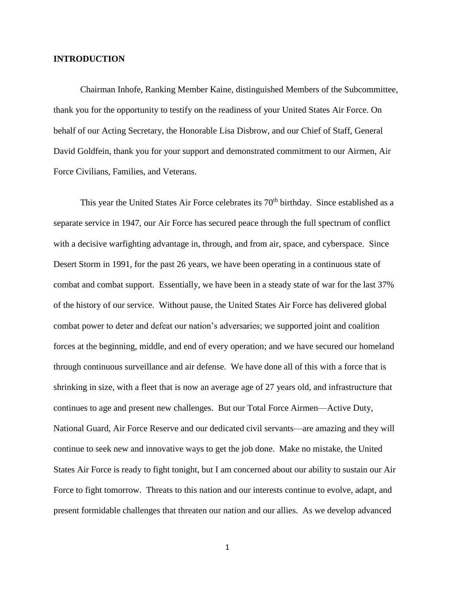#### **INTRODUCTION**

Chairman Inhofe, Ranking Member Kaine, distinguished Members of the Subcommittee, thank you for the opportunity to testify on the readiness of your United States Air Force. On behalf of our Acting Secretary, the Honorable Lisa Disbrow, and our Chief of Staff, General David Goldfein, thank you for your support and demonstrated commitment to our Airmen, Air Force Civilians, Families, and Veterans.

This year the United States Air Force celebrates its 70<sup>th</sup> birthday. Since established as a separate service in 1947, our Air Force has secured peace through the full spectrum of conflict with a decisive warfighting advantage in, through, and from air, space, and cyberspace. Since Desert Storm in 1991, for the past 26 years, we have been operating in a continuous state of combat and combat support. Essentially, we have been in a steady state of war for the last 37% of the history of our service. Without pause, the United States Air Force has delivered global combat power to deter and defeat our nation's adversaries; we supported joint and coalition forces at the beginning, middle, and end of every operation; and we have secured our homeland through continuous surveillance and air defense. We have done all of this with a force that is shrinking in size, with a fleet that is now an average age of 27 years old, and infrastructure that continues to age and present new challenges. But our Total Force Airmen—Active Duty, National Guard, Air Force Reserve and our dedicated civil servants—are amazing and they will continue to seek new and innovative ways to get the job done. Make no mistake, the United States Air Force is ready to fight tonight, but I am concerned about our ability to sustain our Air Force to fight tomorrow. Threats to this nation and our interests continue to evolve, adapt, and present formidable challenges that threaten our nation and our allies. As we develop advanced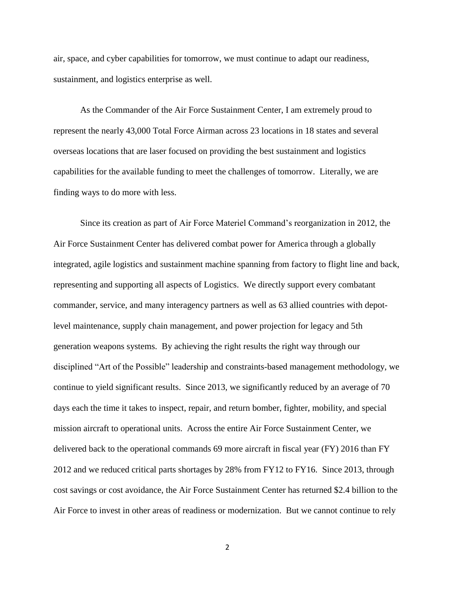air, space, and cyber capabilities for tomorrow, we must continue to adapt our readiness, sustainment, and logistics enterprise as well.

As the Commander of the Air Force Sustainment Center, I am extremely proud to represent the nearly 43,000 Total Force Airman across 23 locations in 18 states and several overseas locations that are laser focused on providing the best sustainment and logistics capabilities for the available funding to meet the challenges of tomorrow. Literally, we are finding ways to do more with less.

Since its creation as part of Air Force Materiel Command's reorganization in 2012, the Air Force Sustainment Center has delivered combat power for America through a globally integrated, agile logistics and sustainment machine spanning from factory to flight line and back, representing and supporting all aspects of Logistics. We directly support every combatant commander, service, and many interagency partners as well as 63 allied countries with depotlevel maintenance, supply chain management, and power projection for legacy and 5th generation weapons systems. By achieving the right results the right way through our disciplined "Art of the Possible" leadership and constraints-based management methodology, we continue to yield significant results. Since 2013, we significantly reduced by an average of 70 days each the time it takes to inspect, repair, and return bomber, fighter, mobility, and special mission aircraft to operational units. Across the entire Air Force Sustainment Center, we delivered back to the operational commands 69 more aircraft in fiscal year (FY) 2016 than FY 2012 and we reduced critical parts shortages by 28% from FY12 to FY16. Since 2013, through cost savings or cost avoidance, the Air Force Sustainment Center has returned \$2.4 billion to the Air Force to invest in other areas of readiness or modernization. But we cannot continue to rely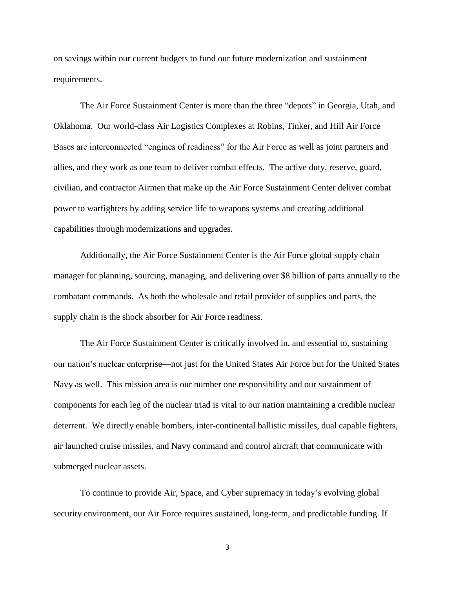on savings within our current budgets to fund our future modernization and sustainment requirements.

The Air Force Sustainment Center is more than the three "depots" in Georgia, Utah, and Oklahoma. Our world-class Air Logistics Complexes at Robins, Tinker, and Hill Air Force Bases are interconnected "engines of readiness" for the Air Force as well as joint partners and allies, and they work as one team to deliver combat effects. The active duty, reserve, guard, civilian, and contractor Airmen that make up the Air Force Sustainment Center deliver combat power to warfighters by adding service life to weapons systems and creating additional capabilities through modernizations and upgrades.

Additionally, the Air Force Sustainment Center is the Air Force global supply chain manager for planning, sourcing, managing, and delivering over \$8 billion of parts annually to the combatant commands. As both the wholesale and retail provider of supplies and parts, the supply chain is the shock absorber for Air Force readiness.

The Air Force Sustainment Center is critically involved in, and essential to, sustaining our nation's nuclear enterprise—not just for the United States Air Force but for the United States Navy as well. This mission area is our number one responsibility and our sustainment of components for each leg of the nuclear triad is vital to our nation maintaining a credible nuclear deterrent. We directly enable bombers, inter-continental ballistic missiles, dual capable fighters, air launched cruise missiles, and Navy command and control aircraft that communicate with submerged nuclear assets.

To continue to provide Air, Space, and Cyber supremacy in today's evolving global security environment, our Air Force requires sustained, long-term, and predictable funding. If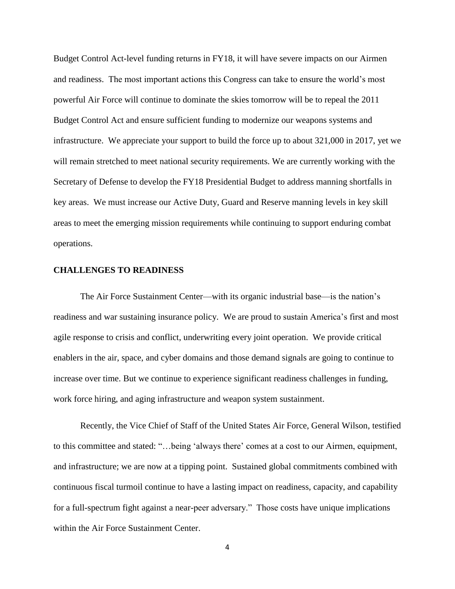Budget Control Act-level funding returns in FY18, it will have severe impacts on our Airmen and readiness. The most important actions this Congress can take to ensure the world's most powerful Air Force will continue to dominate the skies tomorrow will be to repeal the 2011 Budget Control Act and ensure sufficient funding to modernize our weapons systems and infrastructure. We appreciate your support to build the force up to about 321,000 in 2017, yet we will remain stretched to meet national security requirements. We are currently working with the Secretary of Defense to develop the FY18 Presidential Budget to address manning shortfalls in key areas. We must increase our Active Duty, Guard and Reserve manning levels in key skill areas to meet the emerging mission requirements while continuing to support enduring combat operations.

#### **CHALLENGES TO READINESS**

The Air Force Sustainment Center—with its organic industrial base—is the nation's readiness and war sustaining insurance policy. We are proud to sustain America's first and most agile response to crisis and conflict, underwriting every joint operation. We provide critical enablers in the air, space, and cyber domains and those demand signals are going to continue to increase over time. But we continue to experience significant readiness challenges in funding, work force hiring, and aging infrastructure and weapon system sustainment.

Recently, the Vice Chief of Staff of the United States Air Force, General Wilson, testified to this committee and stated: "…being 'always there' comes at a cost to our Airmen, equipment, and infrastructure; we are now at a tipping point. Sustained global commitments combined with continuous fiscal turmoil continue to have a lasting impact on readiness, capacity, and capability for a full-spectrum fight against a near-peer adversary." Those costs have unique implications within the Air Force Sustainment Center.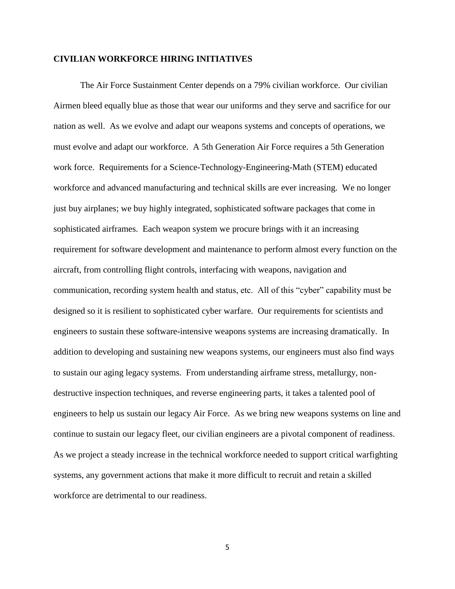#### **CIVILIAN WORKFORCE HIRING INITIATIVES**

The Air Force Sustainment Center depends on a 79% civilian workforce. Our civilian Airmen bleed equally blue as those that wear our uniforms and they serve and sacrifice for our nation as well. As we evolve and adapt our weapons systems and concepts of operations, we must evolve and adapt our workforce. A 5th Generation Air Force requires a 5th Generation work force. Requirements for a Science-Technology-Engineering-Math (STEM) educated workforce and advanced manufacturing and technical skills are ever increasing. We no longer just buy airplanes; we buy highly integrated, sophisticated software packages that come in sophisticated airframes. Each weapon system we procure brings with it an increasing requirement for software development and maintenance to perform almost every function on the aircraft, from controlling flight controls, interfacing with weapons, navigation and communication, recording system health and status, etc. All of this "cyber" capability must be designed so it is resilient to sophisticated cyber warfare. Our requirements for scientists and engineers to sustain these software-intensive weapons systems are increasing dramatically. In addition to developing and sustaining new weapons systems, our engineers must also find ways to sustain our aging legacy systems. From understanding airframe stress, metallurgy, nondestructive inspection techniques, and reverse engineering parts, it takes a talented pool of engineers to help us sustain our legacy Air Force. As we bring new weapons systems on line and continue to sustain our legacy fleet, our civilian engineers are a pivotal component of readiness. As we project a steady increase in the technical workforce needed to support critical warfighting systems, any government actions that make it more difficult to recruit and retain a skilled workforce are detrimental to our readiness.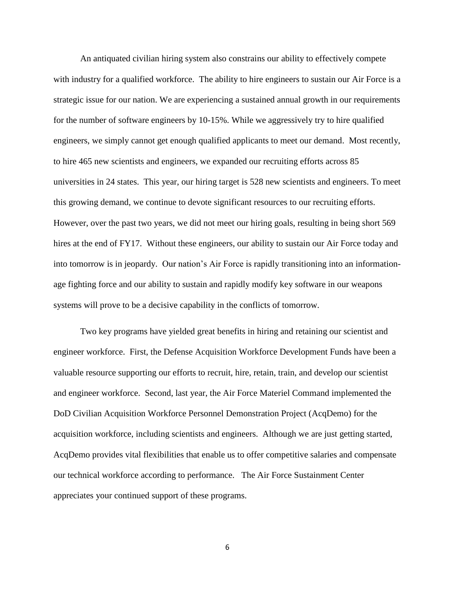An antiquated civilian hiring system also constrains our ability to effectively compete with industry for a qualified workforce. The ability to hire engineers to sustain our Air Force is a strategic issue for our nation. We are experiencing a sustained annual growth in our requirements for the number of software engineers by 10-15%. While we aggressively try to hire qualified engineers, we simply cannot get enough qualified applicants to meet our demand. Most recently, to hire 465 new scientists and engineers, we expanded our recruiting efforts across 85 universities in 24 states. This year, our hiring target is 528 new scientists and engineers. To meet this growing demand, we continue to devote significant resources to our recruiting efforts. However, over the past two years, we did not meet our hiring goals, resulting in being short 569 hires at the end of FY17. Without these engineers, our ability to sustain our Air Force today and into tomorrow is in jeopardy. Our nation's Air Force is rapidly transitioning into an informationage fighting force and our ability to sustain and rapidly modify key software in our weapons systems will prove to be a decisive capability in the conflicts of tomorrow.

Two key programs have yielded great benefits in hiring and retaining our scientist and engineer workforce. First, the Defense Acquisition Workforce Development Funds have been a valuable resource supporting our efforts to recruit, hire, retain, train, and develop our scientist and engineer workforce. Second, last year, the Air Force Materiel Command implemented the DoD Civilian Acquisition Workforce Personnel Demonstration Project (AcqDemo) for the acquisition workforce, including scientists and engineers. Although we are just getting started, AcqDemo provides vital flexibilities that enable us to offer competitive salaries and compensate our technical workforce according to performance. The Air Force Sustainment Center appreciates your continued support of these programs.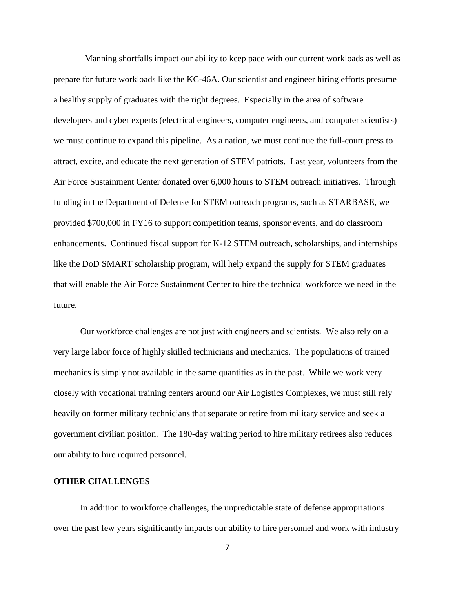Manning shortfalls impact our ability to keep pace with our current workloads as well as prepare for future workloads like the KC-46A. Our scientist and engineer hiring efforts presume a healthy supply of graduates with the right degrees. Especially in the area of software developers and cyber experts (electrical engineers, computer engineers, and computer scientists) we must continue to expand this pipeline. As a nation, we must continue the full-court press to attract, excite, and educate the next generation of STEM patriots. Last year, volunteers from the Air Force Sustainment Center donated over 6,000 hours to STEM outreach initiatives. Through funding in the Department of Defense for STEM outreach programs, such as STARBASE, we provided \$700,000 in FY16 to support competition teams, sponsor events, and do classroom enhancements. Continued fiscal support for K-12 STEM outreach, scholarships, and internships like the DoD SMART scholarship program, will help expand the supply for STEM graduates that will enable the Air Force Sustainment Center to hire the technical workforce we need in the future.

Our workforce challenges are not just with engineers and scientists. We also rely on a very large labor force of highly skilled technicians and mechanics. The populations of trained mechanics is simply not available in the same quantities as in the past. While we work very closely with vocational training centers around our Air Logistics Complexes, we must still rely heavily on former military technicians that separate or retire from military service and seek a government civilian position. The 180-day waiting period to hire military retirees also reduces our ability to hire required personnel.

#### **OTHER CHALLENGES**

In addition to workforce challenges, the unpredictable state of defense appropriations over the past few years significantly impacts our ability to hire personnel and work with industry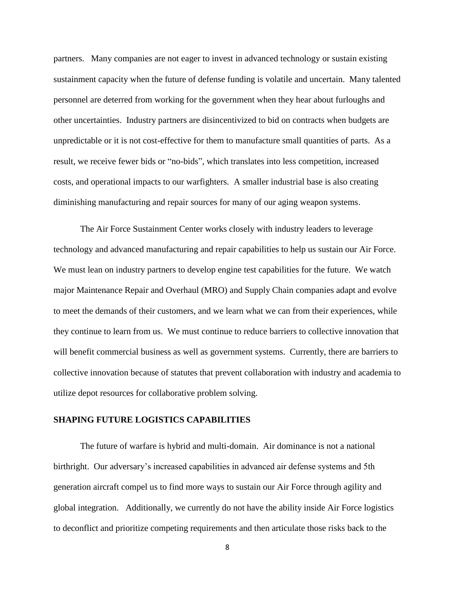partners. Many companies are not eager to invest in advanced technology or sustain existing sustainment capacity when the future of defense funding is volatile and uncertain. Many talented personnel are deterred from working for the government when they hear about furloughs and other uncertainties. Industry partners are disincentivized to bid on contracts when budgets are unpredictable or it is not cost-effective for them to manufacture small quantities of parts. As a result, we receive fewer bids or "no-bids", which translates into less competition, increased costs, and operational impacts to our warfighters. A smaller industrial base is also creating diminishing manufacturing and repair sources for many of our aging weapon systems.

The Air Force Sustainment Center works closely with industry leaders to leverage technology and advanced manufacturing and repair capabilities to help us sustain our Air Force. We must lean on industry partners to develop engine test capabilities for the future. We watch major Maintenance Repair and Overhaul (MRO) and Supply Chain companies adapt and evolve to meet the demands of their customers, and we learn what we can from their experiences, while they continue to learn from us. We must continue to reduce barriers to collective innovation that will benefit commercial business as well as government systems. Currently, there are barriers to collective innovation because of statutes that prevent collaboration with industry and academia to utilize depot resources for collaborative problem solving.

#### **SHAPING FUTURE LOGISTICS CAPABILITIES**

The future of warfare is hybrid and multi-domain. Air dominance is not a national birthright. Our adversary's increased capabilities in advanced air defense systems and 5th generation aircraft compel us to find more ways to sustain our Air Force through agility and global integration. Additionally, we currently do not have the ability inside Air Force logistics to deconflict and prioritize competing requirements and then articulate those risks back to the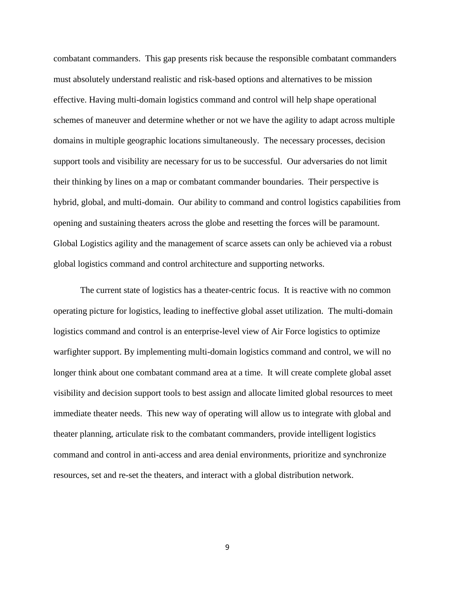combatant commanders. This gap presents risk because the responsible combatant commanders must absolutely understand realistic and risk-based options and alternatives to be mission effective. Having multi-domain logistics command and control will help shape operational schemes of maneuver and determine whether or not we have the agility to adapt across multiple domains in multiple geographic locations simultaneously. The necessary processes, decision support tools and visibility are necessary for us to be successful. Our adversaries do not limit their thinking by lines on a map or combatant commander boundaries. Their perspective is hybrid, global, and multi-domain. Our ability to command and control logistics capabilities from opening and sustaining theaters across the globe and resetting the forces will be paramount. Global Logistics agility and the management of scarce assets can only be achieved via a robust global logistics command and control architecture and supporting networks.

The current state of logistics has a theater-centric focus. It is reactive with no common operating picture for logistics, leading to ineffective global asset utilization. The multi-domain logistics command and control is an enterprise-level view of Air Force logistics to optimize warfighter support. By implementing multi-domain logistics command and control, we will no longer think about one combatant command area at a time. It will create complete global asset visibility and decision support tools to best assign and allocate limited global resources to meet immediate theater needs. This new way of operating will allow us to integrate with global and theater planning, articulate risk to the combatant commanders, provide intelligent logistics command and control in anti-access and area denial environments, prioritize and synchronize resources, set and re-set the theaters, and interact with a global distribution network.